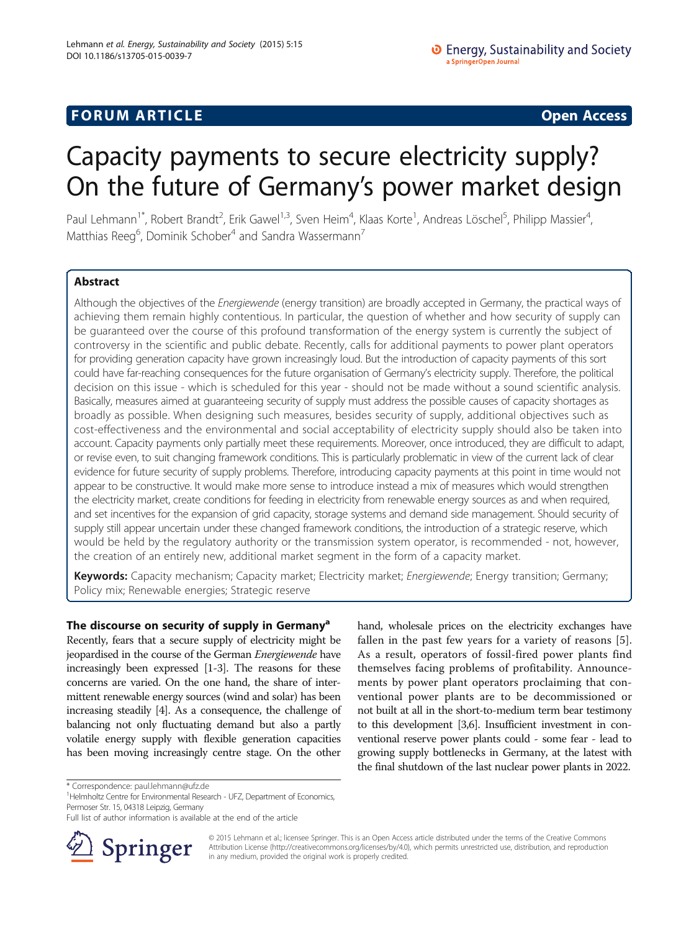## **FORUM ARTICLE Example 2018 CONSUMER ACCESS**

# Capacity payments to secure electricity supply? On the future of Germany's power market design

Paul Lehmann<sup>1\*</sup>, Robert Brandt<sup>2</sup>, Erik Gawel<sup>1,3</sup>, Sven Heim<sup>4</sup>, Klaas Korte<sup>1</sup>, Andreas Löschel<sup>5</sup>, Philipp Massier<sup>4</sup> , Matthias Reeg<sup>6</sup>, Dominik Schober<sup>4</sup> and Sandra Wassermann<sup>7</sup>

## Abstract

Although the objectives of the Energiewende (energy transition) are broadly accepted in Germany, the practical ways of achieving them remain highly contentious. In particular, the question of whether and how security of supply can be guaranteed over the course of this profound transformation of the energy system is currently the subject of controversy in the scientific and public debate. Recently, calls for additional payments to power plant operators for providing generation capacity have grown increasingly loud. But the introduction of capacity payments of this sort could have far-reaching consequences for the future organisation of Germany's electricity supply. Therefore, the political decision on this issue - which is scheduled for this year - should not be made without a sound scientific analysis. Basically, measures aimed at guaranteeing security of supply must address the possible causes of capacity shortages as broadly as possible. When designing such measures, besides security of supply, additional objectives such as cost-effectiveness and the environmental and social acceptability of electricity supply should also be taken into account. Capacity payments only partially meet these requirements. Moreover, once introduced, they are difficult to adapt, or revise even, to suit changing framework conditions. This is particularly problematic in view of the current lack of clear evidence for future security of supply problems. Therefore, introducing capacity payments at this point in time would not appear to be constructive. It would make more sense to introduce instead a mix of measures which would strengthen the electricity market, create conditions for feeding in electricity from renewable energy sources as and when required, and set incentives for the expansion of grid capacity, storage systems and demand side management. Should security of supply still appear uncertain under these changed framework conditions, the introduction of a strategic reserve, which would be held by the regulatory authority or the transmission system operator, is recommended - not, however, the creation of an entirely new, additional market segment in the form of a capacity market.

Keywords: Capacity mechanism; Capacity market; Electricity market; *Energiewende*; Energy transition; Germany; Policy mix; Renewable energies; Strategic reserve

## The discourse on security of supply in Germany<sup>a</sup>

Recently, fears that a secure supply of electricity might be jeopardised in the course of the German Energiewende have increasingly been expressed [\[1-3\]](#page-5-0). The reasons for these concerns are varied. On the one hand, the share of intermittent renewable energy sources (wind and solar) has been increasing steadily [\[4](#page-5-0)]. As a consequence, the challenge of balancing not only fluctuating demand but also a partly volatile energy supply with flexible generation capacities has been moving increasingly centre stage. On the other

hand, wholesale prices on the electricity exchanges have fallen in the past few years for a variety of reasons [\[5](#page-5-0)]. As a result, operators of fossil-fired power plants find themselves facing problems of profitability. Announcements by power plant operators proclaiming that conventional power plants are to be decommissioned or not built at all in the short-to-medium term bear testimony to this development [\[3,6](#page-5-0)]. Insufficient investment in conventional reserve power plants could - some fear - lead to growing supply bottlenecks in Germany, at the latest with the final shutdown of the last nuclear power plants in 2022.

Full list of author information is available at the end of the article



© 2015 Lehmann et al.; licensee Springer. This is an Open Access article distributed under the terms of the Creative Commons Attribution License [\(http://creativecommons.org/licenses/by/4.0\)](http://creativecommons.org/licenses/by/4.0), which permits unrestricted use, distribution, and reproduction in any medium, provided the original work is properly credited.

<sup>\*</sup> Correspondence: [paul.lehmann@ufz.de](mailto:paul.lehmann@ufz.de) <sup>1</sup>

<sup>&</sup>lt;sup>1</sup>Helmholtz Centre for Environmental Research - UFZ, Department of Economics, Permoser Str. 15, 04318 Leipzig, Germany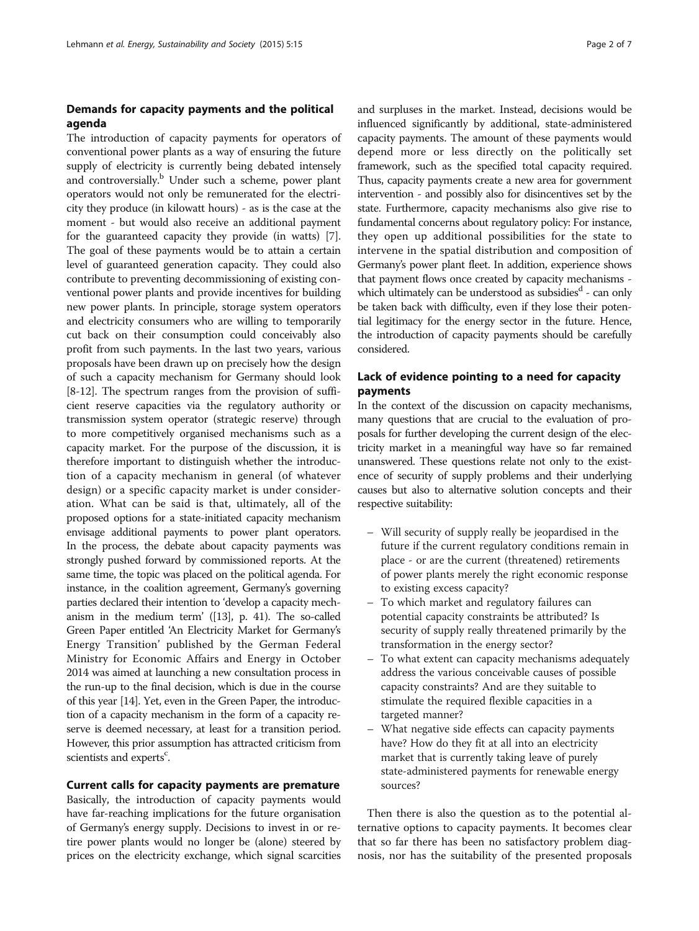#### Demands for capacity payments and the political agenda

The introduction of capacity payments for operators of conventional power plants as a way of ensuring the future supply of electricity is currently being debated intensely and controversially.<sup>b</sup> Under such a scheme, power plant operators would not only be remunerated for the electricity they produce (in kilowatt hours) - as is the case at the moment - but would also receive an additional payment for the guaranteed capacity they provide (in watts) [[7](#page-5-0)]. The goal of these payments would be to attain a certain level of guaranteed generation capacity. They could also contribute to preventing decommissioning of existing conventional power plants and provide incentives for building new power plants. In principle, storage system operators and electricity consumers who are willing to temporarily cut back on their consumption could conceivably also profit from such payments. In the last two years, various proposals have been drawn up on precisely how the design of such a capacity mechanism for Germany should look [[8-12\]](#page-5-0). The spectrum ranges from the provision of sufficient reserve capacities via the regulatory authority or transmission system operator (strategic reserve) through to more competitively organised mechanisms such as a capacity market. For the purpose of the discussion, it is therefore important to distinguish whether the introduction of a capacity mechanism in general (of whatever design) or a specific capacity market is under consideration. What can be said is that, ultimately, all of the proposed options for a state-initiated capacity mechanism envisage additional payments to power plant operators. In the process, the debate about capacity payments was strongly pushed forward by commissioned reports. At the same time, the topic was placed on the political agenda. For instance, in the coalition agreement, Germany's governing parties declared their intention to 'develop a capacity mechanism in the medium term' ([\[13\]](#page-5-0), p. 41). The so-called Green Paper entitled 'An Electricity Market for Germany's Energy Transition' published by the German Federal Ministry for Economic Affairs and Energy in October 2014 was aimed at launching a new consultation process in the run-up to the final decision, which is due in the course of this year [\[14\]](#page-5-0). Yet, even in the Green Paper, the introduction of a capacity mechanism in the form of a capacity reserve is deemed necessary, at least for a transition period. However, this prior assumption has attracted criticism from scientists and experts<sup>c</sup>.

#### Current calls for capacity payments are premature

Basically, the introduction of capacity payments would have far-reaching implications for the future organisation of Germany's energy supply. Decisions to invest in or retire power plants would no longer be (alone) steered by prices on the electricity exchange, which signal scarcities

and surpluses in the market. Instead, decisions would be influenced significantly by additional, state-administered capacity payments. The amount of these payments would depend more or less directly on the politically set framework, such as the specified total capacity required. Thus, capacity payments create a new area for government intervention - and possibly also for disincentives set by the state. Furthermore, capacity mechanisms also give rise to fundamental concerns about regulatory policy: For instance, they open up additional possibilities for the state to intervene in the spatial distribution and composition of Germany's power plant fleet. In addition, experience shows that payment flows once created by capacity mechanisms which ultimately can be understood as subsidies $d$  - can only be taken back with difficulty, even if they lose their potential legitimacy for the energy sector in the future. Hence, the introduction of capacity payments should be carefully considered.

## Lack of evidence pointing to a need for capacity payments

In the context of the discussion on capacity mechanisms, many questions that are crucial to the evaluation of proposals for further developing the current design of the electricity market in a meaningful way have so far remained unanswered. These questions relate not only to the existence of security of supply problems and their underlying causes but also to alternative solution concepts and their respective suitability:

- Will security of supply really be jeopardised in the future if the current regulatory conditions remain in place - or are the current (threatened) retirements of power plants merely the right economic response to existing excess capacity?
- To which market and regulatory failures can potential capacity constraints be attributed? Is security of supply really threatened primarily by the transformation in the energy sector?
- To what extent can capacity mechanisms adequately address the various conceivable causes of possible capacity constraints? And are they suitable to stimulate the required flexible capacities in a targeted manner?
- What negative side effects can capacity payments have? How do they fit at all into an electricity market that is currently taking leave of purely state-administered payments for renewable energy sources?

Then there is also the question as to the potential alternative options to capacity payments. It becomes clear that so far there has been no satisfactory problem diagnosis, nor has the suitability of the presented proposals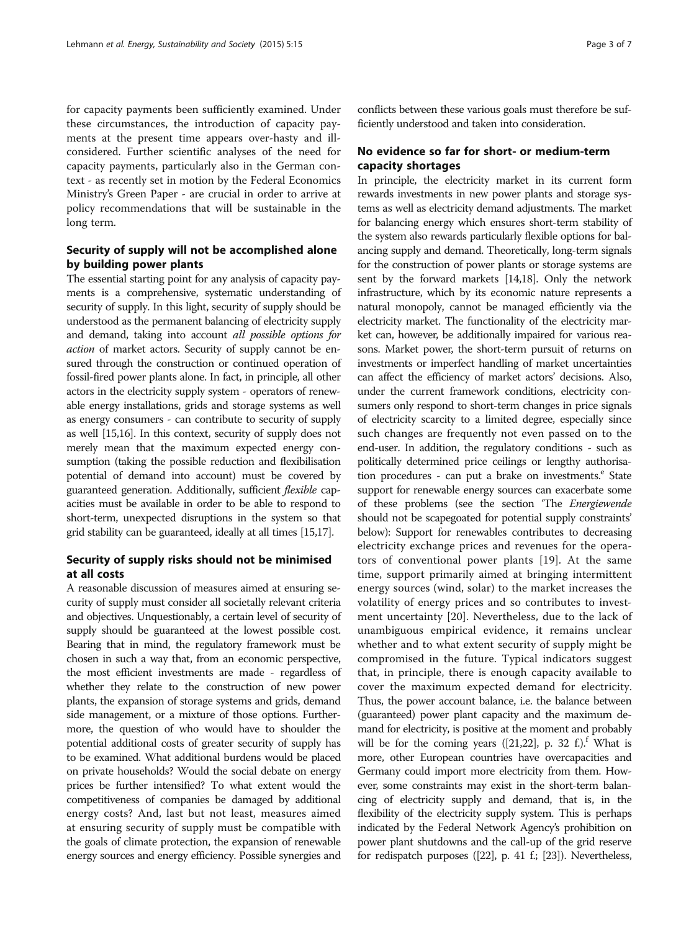for capacity payments been sufficiently examined. Under these circumstances, the introduction of capacity payments at the present time appears over-hasty and illconsidered. Further scientific analyses of the need for capacity payments, particularly also in the German context - as recently set in motion by the Federal Economics Ministry's Green Paper - are crucial in order to arrive at policy recommendations that will be sustainable in the long term.

## Security of supply will not be accomplished alone by building power plants

The essential starting point for any analysis of capacity payments is a comprehensive, systematic understanding of security of supply. In this light, security of supply should be understood as the permanent balancing of electricity supply and demand, taking into account all possible options for action of market actors. Security of supply cannot be ensured through the construction or continued operation of fossil-fired power plants alone. In fact, in principle, all other actors in the electricity supply system - operators of renewable energy installations, grids and storage systems as well as energy consumers - can contribute to security of supply as well [\[15,16\]](#page-5-0). In this context, security of supply does not merely mean that the maximum expected energy consumption (taking the possible reduction and flexibilisation potential of demand into account) must be covered by guaranteed generation. Additionally, sufficient flexible capacities must be available in order to be able to respond to short-term, unexpected disruptions in the system so that grid stability can be guaranteed, ideally at all times [\[15,17\]](#page-5-0).

## Security of supply risks should not be minimised at all costs

A reasonable discussion of measures aimed at ensuring security of supply must consider all societally relevant criteria and objectives. Unquestionably, a certain level of security of supply should be guaranteed at the lowest possible cost. Bearing that in mind, the regulatory framework must be chosen in such a way that, from an economic perspective, the most efficient investments are made - regardless of whether they relate to the construction of new power plants, the expansion of storage systems and grids, demand side management, or a mixture of those options. Furthermore, the question of who would have to shoulder the potential additional costs of greater security of supply has to be examined. What additional burdens would be placed on private households? Would the social debate on energy prices be further intensified? To what extent would the competitiveness of companies be damaged by additional energy costs? And, last but not least, measures aimed at ensuring security of supply must be compatible with the goals of climate protection, the expansion of renewable energy sources and energy efficiency. Possible synergies and

conflicts between these various goals must therefore be sufficiently understood and taken into consideration.

#### No evidence so far for short- or medium-term capacity shortages

In principle, the electricity market in its current form rewards investments in new power plants and storage systems as well as electricity demand adjustments. The market for balancing energy which ensures short-term stability of the system also rewards particularly flexible options for balancing supply and demand. Theoretically, long-term signals for the construction of power plants or storage systems are sent by the forward markets [\[14,18\]](#page-5-0). Only the network infrastructure, which by its economic nature represents a natural monopoly, cannot be managed efficiently via the electricity market. The functionality of the electricity market can, however, be additionally impaired for various reasons. Market power, the short-term pursuit of returns on investments or imperfect handling of market uncertainties can affect the efficiency of market actors' decisions. Also, under the current framework conditions, electricity consumers only respond to short-term changes in price signals of electricity scarcity to a limited degree, especially since such changes are frequently not even passed on to the end-user. In addition, the regulatory conditions - such as politically determined price ceilings or lengthy authorisation procedures - can put a brake on investments.<sup>e</sup> State support for renewable energy sources can exacerbate some of these problems (see the section 'The Energiewende should not be scapegoated for potential supply constraints' below): Support for renewables contributes to decreasing electricity exchange prices and revenues for the operators of conventional power plants [[19\]](#page-5-0). At the same time, support primarily aimed at bringing intermittent energy sources (wind, solar) to the market increases the volatility of energy prices and so contributes to investment uncertainty [\[20](#page-5-0)]. Nevertheless, due to the lack of unambiguous empirical evidence, it remains unclear whether and to what extent security of supply might be compromised in the future. Typical indicators suggest that, in principle, there is enough capacity available to cover the maximum expected demand for electricity. Thus, the power account balance, i.e. the balance between (guaranteed) power plant capacity and the maximum demand for electricity, is positive at the moment and probably will be for the coming years  $([21,22], p. 32 f.)$  $([21,22], p. 32 f.)$  $([21,22], p. 32 f.)$ . What is more, other European countries have overcapacities and Germany could import more electricity from them. However, some constraints may exist in the short-term balancing of electricity supply and demand, that is, in the flexibility of the electricity supply system. This is perhaps indicated by the Federal Network Agency's prohibition on power plant shutdowns and the call-up of the grid reserve for redispatch purposes ([\[22](#page-5-0)], p. 41 f.; [\[23\]](#page-6-0)). Nevertheless,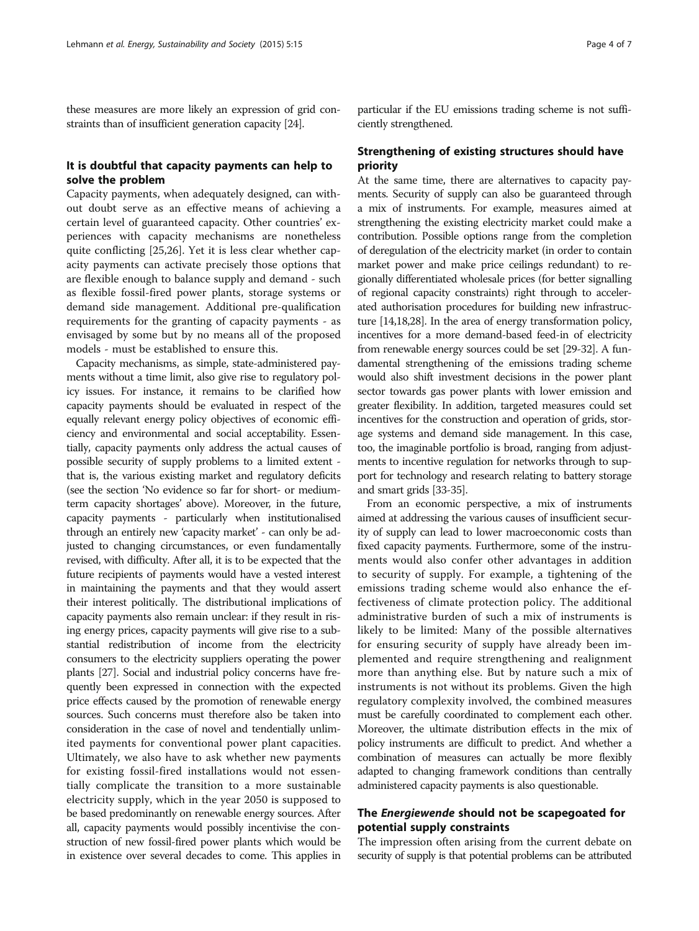these measures are more likely an expression of grid constraints than of insufficient generation capacity [\[24](#page-6-0)].

## It is doubtful that capacity payments can help to solve the problem

Capacity payments, when adequately designed, can without doubt serve as an effective means of achieving a certain level of guaranteed capacity. Other countries' experiences with capacity mechanisms are nonetheless quite conflicting [\[25,26](#page-6-0)]. Yet it is less clear whether capacity payments can activate precisely those options that are flexible enough to balance supply and demand - such as flexible fossil-fired power plants, storage systems or demand side management. Additional pre-qualification requirements for the granting of capacity payments - as envisaged by some but by no means all of the proposed models - must be established to ensure this.

Capacity mechanisms, as simple, state-administered payments without a time limit, also give rise to regulatory policy issues. For instance, it remains to be clarified how capacity payments should be evaluated in respect of the equally relevant energy policy objectives of economic efficiency and environmental and social acceptability. Essentially, capacity payments only address the actual causes of possible security of supply problems to a limited extent that is, the various existing market and regulatory deficits (see the section 'No evidence so far for short- or mediumterm capacity shortages' above). Moreover, in the future, capacity payments - particularly when institutionalised through an entirely new 'capacity market' - can only be adjusted to changing circumstances, or even fundamentally revised, with difficulty. After all, it is to be expected that the future recipients of payments would have a vested interest in maintaining the payments and that they would assert their interest politically. The distributional implications of capacity payments also remain unclear: if they result in rising energy prices, capacity payments will give rise to a substantial redistribution of income from the electricity consumers to the electricity suppliers operating the power plants [[27](#page-6-0)]. Social and industrial policy concerns have frequently been expressed in connection with the expected price effects caused by the promotion of renewable energy sources. Such concerns must therefore also be taken into consideration in the case of novel and tendentially unlimited payments for conventional power plant capacities. Ultimately, we also have to ask whether new payments for existing fossil-fired installations would not essentially complicate the transition to a more sustainable electricity supply, which in the year 2050 is supposed to be based predominantly on renewable energy sources. After all, capacity payments would possibly incentivise the construction of new fossil-fired power plants which would be in existence over several decades to come. This applies in

particular if the EU emissions trading scheme is not sufficiently strengthened.

## Strengthening of existing structures should have priority

At the same time, there are alternatives to capacity payments. Security of supply can also be guaranteed through a mix of instruments. For example, measures aimed at strengthening the existing electricity market could make a contribution. Possible options range from the completion of deregulation of the electricity market (in order to contain market power and make price ceilings redundant) to regionally differentiated wholesale prices (for better signalling of regional capacity constraints) right through to accelerated authorisation procedures for building new infrastructure [[14,18](#page-5-0)[,28\]](#page-6-0). In the area of energy transformation policy, incentives for a more demand-based feed-in of electricity from renewable energy sources could be set [\[29-32\]](#page-6-0). A fundamental strengthening of the emissions trading scheme would also shift investment decisions in the power plant sector towards gas power plants with lower emission and greater flexibility. In addition, targeted measures could set incentives for the construction and operation of grids, storage systems and demand side management. In this case, too, the imaginable portfolio is broad, ranging from adjustments to incentive regulation for networks through to support for technology and research relating to battery storage and smart grids [\[33-35\]](#page-6-0).

From an economic perspective, a mix of instruments aimed at addressing the various causes of insufficient security of supply can lead to lower macroeconomic costs than fixed capacity payments. Furthermore, some of the instruments would also confer other advantages in addition to security of supply. For example, a tightening of the emissions trading scheme would also enhance the effectiveness of climate protection policy. The additional administrative burden of such a mix of instruments is likely to be limited: Many of the possible alternatives for ensuring security of supply have already been implemented and require strengthening and realignment more than anything else. But by nature such a mix of instruments is not without its problems. Given the high regulatory complexity involved, the combined measures must be carefully coordinated to complement each other. Moreover, the ultimate distribution effects in the mix of policy instruments are difficult to predict. And whether a combination of measures can actually be more flexibly adapted to changing framework conditions than centrally administered capacity payments is also questionable.

#### The Energiewende should not be scapegoated for potential supply constraints

The impression often arising from the current debate on security of supply is that potential problems can be attributed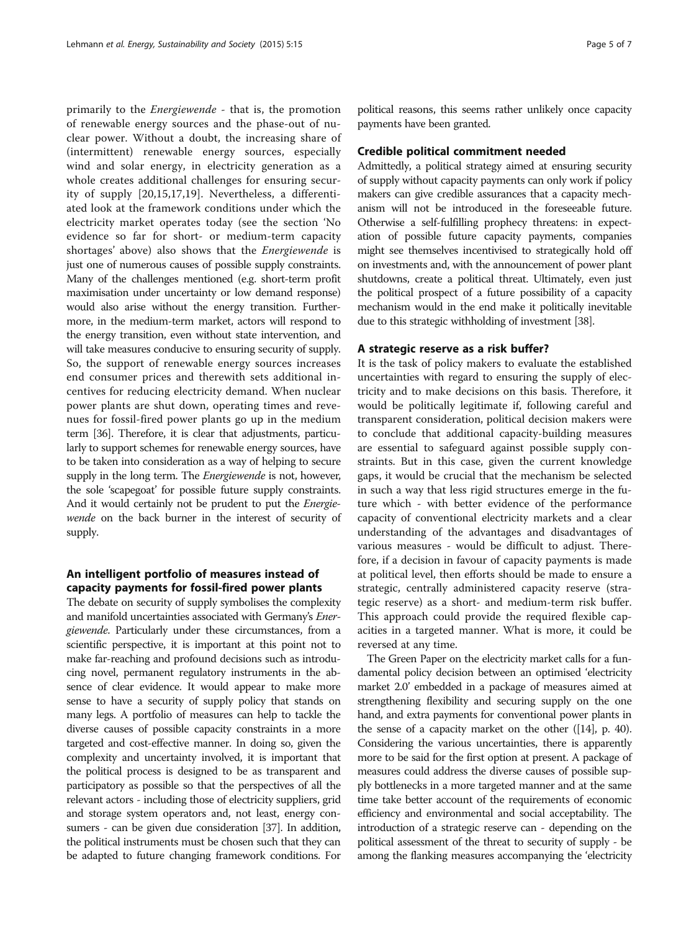primarily to the Energiewende - that is, the promotion of renewable energy sources and the phase-out of nuclear power. Without a doubt, the increasing share of (intermittent) renewable energy sources, especially wind and solar energy, in electricity generation as a whole creates additional challenges for ensuring security of supply [[20,15](#page-5-0),[17,19\]](#page-5-0). Nevertheless, a differentiated look at the framework conditions under which the electricity market operates today (see the section 'No evidence so far for short- or medium-term capacity shortages' above) also shows that the *Energiewende* is just one of numerous causes of possible supply constraints. Many of the challenges mentioned (e.g. short-term profit maximisation under uncertainty or low demand response) would also arise without the energy transition. Furthermore, in the medium-term market, actors will respond to the energy transition, even without state intervention, and will take measures conducive to ensuring security of supply. So, the support of renewable energy sources increases end consumer prices and therewith sets additional incentives for reducing electricity demand. When nuclear power plants are shut down, operating times and revenues for fossil-fired power plants go up in the medium term [\[36\]](#page-6-0). Therefore, it is clear that adjustments, particularly to support schemes for renewable energy sources, have to be taken into consideration as a way of helping to secure supply in the long term. The *Energiewende* is not, however, the sole 'scapegoat' for possible future supply constraints. And it would certainly not be prudent to put the Energiewende on the back burner in the interest of security of supply.

#### An intelligent portfolio of measures instead of capacity payments for fossil-fired power plants

The debate on security of supply symbolises the complexity and manifold uncertainties associated with Germany's Energiewende. Particularly under these circumstances, from a scientific perspective, it is important at this point not to make far-reaching and profound decisions such as introducing novel, permanent regulatory instruments in the absence of clear evidence. It would appear to make more sense to have a security of supply policy that stands on many legs. A portfolio of measures can help to tackle the diverse causes of possible capacity constraints in a more targeted and cost-effective manner. In doing so, given the complexity and uncertainty involved, it is important that the political process is designed to be as transparent and participatory as possible so that the perspectives of all the relevant actors - including those of electricity suppliers, grid and storage system operators and, not least, energy consumers - can be given due consideration [\[37](#page-6-0)]. In addition, the political instruments must be chosen such that they can be adapted to future changing framework conditions. For political reasons, this seems rather unlikely once capacity payments have been granted.

#### Credible political commitment needed

Admittedly, a political strategy aimed at ensuring security of supply without capacity payments can only work if policy makers can give credible assurances that a capacity mechanism will not be introduced in the foreseeable future. Otherwise a self-fulfilling prophecy threatens: in expectation of possible future capacity payments, companies might see themselves incentivised to strategically hold off on investments and, with the announcement of power plant shutdowns, create a political threat. Ultimately, even just the political prospect of a future possibility of a capacity mechanism would in the end make it politically inevitable due to this strategic withholding of investment [\[38\]](#page-6-0).

#### A strategic reserve as a risk buffer?

It is the task of policy makers to evaluate the established uncertainties with regard to ensuring the supply of electricity and to make decisions on this basis. Therefore, it would be politically legitimate if, following careful and transparent consideration, political decision makers were to conclude that additional capacity-building measures are essential to safeguard against possible supply constraints. But in this case, given the current knowledge gaps, it would be crucial that the mechanism be selected in such a way that less rigid structures emerge in the future which - with better evidence of the performance capacity of conventional electricity markets and a clear understanding of the advantages and disadvantages of various measures - would be difficult to adjust. Therefore, if a decision in favour of capacity payments is made at political level, then efforts should be made to ensure a strategic, centrally administered capacity reserve (strategic reserve) as a short- and medium-term risk buffer. This approach could provide the required flexible capacities in a targeted manner. What is more, it could be reversed at any time.

The Green Paper on the electricity market calls for a fundamental policy decision between an optimised 'electricity market 2.0' embedded in a package of measures aimed at strengthening flexibility and securing supply on the one hand, and extra payments for conventional power plants in the sense of a capacity market on the other ([\[14\]](#page-5-0), p. 40). Considering the various uncertainties, there is apparently more to be said for the first option at present. A package of measures could address the diverse causes of possible supply bottlenecks in a more targeted manner and at the same time take better account of the requirements of economic efficiency and environmental and social acceptability. The introduction of a strategic reserve can - depending on the political assessment of the threat to security of supply - be among the flanking measures accompanying the 'electricity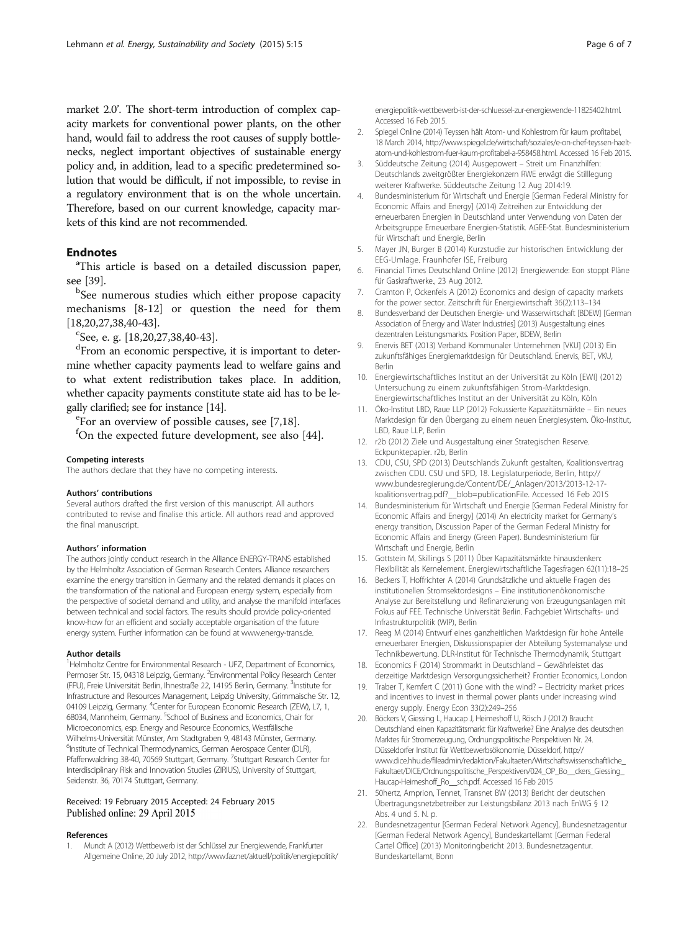<span id="page-5-0"></span>market 2.0'. The short-term introduction of complex capacity markets for conventional power plants, on the other hand, would fail to address the root causes of supply bottlenecks, neglect important objectives of sustainable energy policy and, in addition, lead to a specific predetermined solution that would be difficult, if not impossible, to revise in a regulatory environment that is on the whole uncertain. Therefore, based on our current knowledge, capacity markets of this kind are not recommended.

#### **Endnotes**

This article is based on a detailed discussion paper, see [\[39](#page-6-0)].

<sup>b</sup>See numerous studies which either propose capacity mechanisms [8-12] or question the need for them  $[18, 20, 27, 38, 40-43]$ .

See, e. g. [18,20[,27,38,40](#page-6-0)-[43](#page-6-0)].

<sup>d</sup>From an economic perspective, it is important to determine whether capacity payments lead to welfare gains and to what extent redistribution takes place. In addition, whether capacity payments constitute state aid has to be legally clarified; see for instance [14].

<sup>e</sup>For an overview of possible causes, see [7,18].

 ${}^{\rm f}$ On the expected future development, see also [[44\]](#page-6-0).

#### Competing interests

The authors declare that they have no competing interests.

#### Authors' contributions

Several authors drafted the first version of this manuscript. All authors contributed to revise and finalise this article. All authors read and approved the final manuscript.

#### Authors' information

The authors jointly conduct research in the Alliance ENERGY-TRANS established by the Helmholtz Association of German Research Centers. Alliance researchers examine the energy transition in Germany and the related demands it places on the transformation of the national and European energy system, especially from the perspective of societal demand and utility, and analyse the manifold interfaces between technical and social factors. The results should provide policy-oriented know-how for an efficient and socially acceptable organisation of the future energy system. Further information can be found at [www.energy-trans.de.](http://www.energy-trans.de/)

#### Author details

<sup>1</sup>Helmholtz Centre for Environmental Research - UFZ, Department of Economics, Permoser Str. 15, 04318 Leipzig, Germany. <sup>2</sup>Environmental Policy Research Center (FFU), Freie Universität Berlin, Ihnestraße 22, 14195 Berlin, Germany. <sup>3</sup>Institute for Infrastructure and Resources Management, Leipzig University, Grimmaische Str. 12, 04109 Leipzig, Germany. <sup>4</sup>Center for European Economic Research (ZEW), L7, 1, 68034, Mannheim, Germany. <sup>5</sup>School of Business and Economics, Chair for Microeconomics, esp. Energy and Resource Economics, Westfälische Wilhelms-Universität Münster, Am Stadtgraben 9, 48143 Münster, Germany. <sup>6</sup>Institute of Technical Thermodynamics, German Aerospace Center (DLR), Pfaffenwaldring 38-40, 70569 Stuttgart, Germany. <sup>7</sup>Stuttgart Research Center for Interdisciplinary Risk and Innovation Studies (ZIRIUS), University of Stuttgart, Seidenstr. 36, 70174 Stuttgart, Germany.

#### Received: 19 February 2015 Accepted: 24 February 2015 Published online: 29 April 2015

#### References

1. Mundt A (2012) Wettbewerb ist der Schlüssel zur Energiewende, Frankfurter Allgemeine Online, 20 July 2012, [http://www.faz.net/aktuell/politik/energiepolitik/](http://www.faz.net/aktuell/politik/energiepolitik/energiepolitik-wettbewerb-ist-der-schluessel-zur-energiewende-11825402.html) [energiepolitik-wettbewerb-ist-der-schluessel-zur-energiewende-11825402.html](http://www.faz.net/aktuell/politik/energiepolitik/energiepolitik-wettbewerb-ist-der-schluessel-zur-energiewende-11825402.html). Accessed 16 Feb 2015.

- 2. Spiegel Online (2014) Teyssen hält Atom- und Kohlestrom für kaum profitabel, 18 March 2014, [http://www.spiegel.de/wirtschaft/soziales/e-on-chef-teyssen-haelt](http://www.spiegel.de/wirtschaft/soziales/e-on-chef-teyssen-haelt-atom-und-kohlestrom-fuer-kaum-profitabel-a-958458.html)[atom-und-kohlestrom-fuer-kaum-profitabel-a-958458.html](http://www.spiegel.de/wirtschaft/soziales/e-on-chef-teyssen-haelt-atom-und-kohlestrom-fuer-kaum-profitabel-a-958458.html). Accessed 16 Feb 2015.
- 3. Süddeutsche Zeitung (2014) Ausgepowert Streit um Finanzhilfen: Deutschlands zweitgrößter Energiekonzern RWE erwägt die Stilllegung weiterer Kraftwerke. Süddeutsche Zeitung 12 Aug 2014:19.
- 4. Bundesministerium für Wirtschaft und Energie [German Federal Ministry for Economic Affairs and Energy] (2014) Zeitreihen zur Entwicklung der erneuerbaren Energien in Deutschland unter Verwendung von Daten der Arbeitsgruppe Erneuerbare Energien-Statistik. AGEE-Stat. Bundesministerium für Wirtschaft und Energie, Berlin
- 5. Mayer JN, Burger B (2014) Kurzstudie zur historischen Entwicklung der EEG-Umlage. Fraunhofer ISE, Freiburg
- 6. Financial Times Deutschland Online (2012) Energiewende: Eon stoppt Pläne für Gaskraftwerke., 23 Aug 2012.
- 7. Cramton P, Ockenfels A (2012) Economics and design of capacity markets for the power sector. Zeitschrift für Energiewirtschaft 36(2):113–134
- 8. Bundesverband der Deutschen Energie- und Wasserwirtschaft [BDEW] [German Association of Energy and Water Industries] (2013) Ausgestaltung eines dezentralen Leistungsmarkts. Position Paper, BDEW, Berlin
- 9. Enervis BET (2013) Verband Kommunaler Unternehmen [VKU] (2013) Ein zukunftsfähiges Energiemarktdesign für Deutschland. Enervis, BET, VKU, Berlin
- 10. Energiewirtschaftliches Institut an der Universität zu Köln [EWI] (2012) Untersuchung zu einem zukunftsfähigen Strom-Marktdesign. Energiewirtschaftliches Institut an der Universität zu Köln, Köln
- Öko-Institut LBD, Raue LLP (2012) Fokussierte Kapazitätsmärkte Ein neues Marktdesign für den Übergang zu einem neuen Energiesystem. Öko-lnstitut, LBD, Raue LLP, Berlin
- 12. r2b (2012) Ziele und Ausgestaltung einer Strategischen Reserve. Eckpunktepapier. r2b, Berlin
- 13. CDU, CSU, SPD (2013) Deutschlands Zukunft gestalten, Koalitionsvertrag zwischen CDU. CSU und SPD, 18. Legislaturperiode, Berlin, [http://](http://www.bundesregierung.de/Content/DE/_Anlagen/2013/2013-12-17-koalitionsvertrag.pdf?__blob=publicationFile) [www.bundesregierung.de/Content/DE/\\_Anlagen/2013/2013-12-17](http://www.bundesregierung.de/Content/DE/_Anlagen/2013/2013-12-17-koalitionsvertrag.pdf?__blob=publicationFile) [koalitionsvertrag.pdf?\\_\\_blob=publicationFile](http://www.bundesregierung.de/Content/DE/_Anlagen/2013/2013-12-17-koalitionsvertrag.pdf?__blob=publicationFile). Accessed 16 Feb 2015
- 14. Bundesministerium für Wirtschaft und Energie [German Federal Ministry for Economic Affairs and Energy] (2014) An electricity market for Germany's energy transition, Discussion Paper of the German Federal Ministry for Economic Affairs and Energy (Green Paper). Bundesministerium für Wirtschaft und Energie, Berlin
- 15. Gottstein M, Skillings S (2011) Über Kapazitätsmärkte hinausdenken: Flexibilität als Kernelement. Energiewirtschaftliche Tagesfragen 62(11):18–25
- 16. Beckers T, Hoffrichter A (2014) Grundsätzliche und aktuelle Fragen des institutionellen Stromsektordesigns – Eine institutionenökonomische Analyse zur Bereitstellung und Refinanzierung von Erzeugungsanlagen mit Fokus auf FEE. Technische Universität Berlin. Fachgebiet Wirtschafts- und Infrastrukturpolitik (WIP), Berlin
- 17. Reeg M (2014) Entwurf eines ganzheitlichen Marktdesign für hohe Anteile erneuerbarer Energien, Diskussionspapier der Abteilung Systemanalyse und Technikbewertung. DLR-Institut für Technische Thermodynamik, Stuttgart
- 18. Economics F (2014) Strommarkt in Deutschland Gewährleistet das derzeitige Marktdesign Versorgungssicherheit? Frontier Economics, London
- 19. Traber T, Kemfert C (2011) Gone with the wind? Electricity market prices and incentives to invest in thermal power plants under increasing wind energy supply. Energy Econ 33(2):249–256
- 20. Böckers V, Giessing L, Haucap J, Heimeshoff U, Rösch J (2012) Braucht Deutschland einen Kapazitätsmarkt für Kraftwerke? Eine Analyse des deutschen Marktes für Stromerzeugung, Ordnungspolitische Perspektiven Nr. 24. Düsseldorfer Institut für Wettbewerbsökonomie, Düsseldorf, [http://](http://www.dice.hhu.de/fileadmin/redaktion/Fakultaeten/Wirtschaftswissenschaftliche_Fakultaet/DICE/Ordnungspolitische_Perspektiven/024_OP_Bo__ckers_Giessing_Haucap-Heimeshoff_Ro__sch.pdf) [www.dice.hhu.de/fileadmin/redaktion/Fakultaeten/Wirtschaftswissenschaftliche\\_](http://www.dice.hhu.de/fileadmin/redaktion/Fakultaeten/Wirtschaftswissenschaftliche_Fakultaet/DICE/Ordnungspolitische_Perspektiven/024_OP_Bo__ckers_Giessing_Haucap-Heimeshoff_Ro__sch.pdf) [Fakultaet/DICE/Ordnungspolitische\\_Perspektiven/024\\_OP\\_Bo\\_\\_ckers\\_Giessing\\_](http://www.dice.hhu.de/fileadmin/redaktion/Fakultaeten/Wirtschaftswissenschaftliche_Fakultaet/DICE/Ordnungspolitische_Perspektiven/024_OP_Bo__ckers_Giessing_Haucap-Heimeshoff_Ro__sch.pdf) [Haucap-Heimeshoff\\_Ro\\_\\_sch.pdf.](http://www.dice.hhu.de/fileadmin/redaktion/Fakultaeten/Wirtschaftswissenschaftliche_Fakultaet/DICE/Ordnungspolitische_Perspektiven/024_OP_Bo__ckers_Giessing_Haucap-Heimeshoff_Ro__sch.pdf) Accessed 16 Feb 2015
- 21. 50hertz, Amprion, Tennet, Transnet BW (2013) Bericht der deutschen Übertragungsnetzbetreiber zur Leistungsbilanz 2013 nach EnWG § 12 Abs. 4 und 5. N. p.
- 22. Bundesnetzagentur [German Federal Network Agency], Bundesnetzagentur [German Federal Network Agency], Bundeskartellamt [German Federal Cartel Office] (2013) Monitoringbericht 2013. Bundesnetzagentur. Bundeskartellamt, Bonn